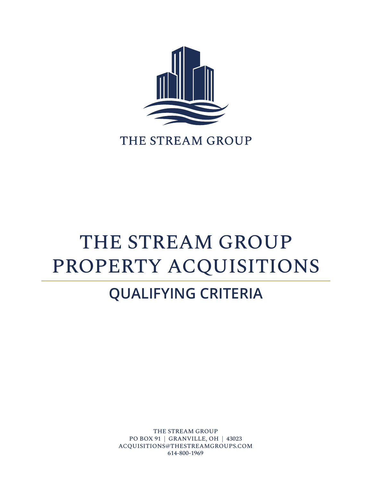

### THE STREAM GROUP

# THE STREAM GROUP PROPERTY ACQUISITIONS

# **QUALIFYING CRITERIA**

THE STREAM GROUP PO BOX 91 | GRANVILLE, OH | 43023 ACQUISITIONS@THESTREAMGROUPS.COM 614-800-1969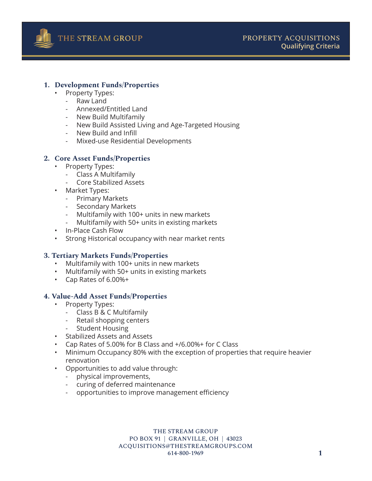

#### **1. Development Funds/Properties**

- Property Types:
	- Raw Land
	- Annexed/Entitled Land
	- New Build Multifamily
	- New Build Assisted Living and Age-Targeted Housing
	- New Build and Infill
	- Mixed-use Residential Developments

#### **2. Core Asset Funds/Properties**

- Property Types:
	- Class A Multifamily
	- Core Stabilized Assets
- Market Types:
	- Primary Markets
	- Secondary Markets
	- Multifamily with 100+ units in new markets
	- Multifamily with 50+ units in existing markets
- In-Place Cash Flow
- Strong Historical occupancy with near market rents

#### **3. Tertiary Markets Funds/Properties**

- Multifamily with 100+ units in new markets
- Multifamily with 50+ units in existing markets
- Cap Rates of 6.00%+

#### **4. Value-Add Asset Funds/Properties**

- Property Types:
	- Class B & C Multifamily
	- Retail shopping centers
	- **Student Housing**
- Stabilized Assets and Assets
- Cap Rates of 5.00% for B Class and +/6.00%+ for C Class
- Minimum Occupancy 80% with the exception of properties that require heavier renovation
- Opportunities to add value through:
	- physical improvements,
	- curing of deferred maintenance
	- opportunities to improve management efficiency

THE STREAM GROUP PO BOX 91 | GRANVILLE, OH | 43023 ACQUISITIONS@THESTREAMGROUPS.COM 614-800-1969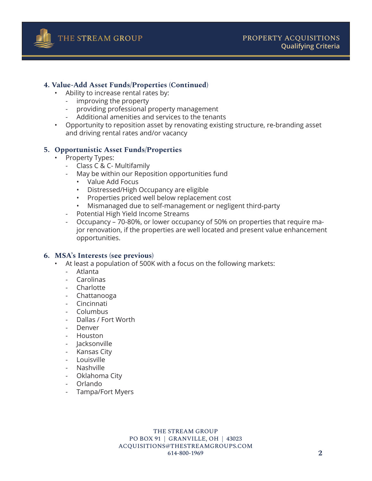

#### **4. Value-Add Asset Funds/Properties (Continued)**

- Ability to increase rental rates by:
	- improving the property
	- providing professional property management
	- Additional amenities and services to the tenants
- Opportunity to reposition asset by renovating existing structure, re-branding asset and driving rental rates and/or vacancy

#### **5. Opportunistic Asset Funds/Properties**

- Property Types:
	- Class C & C- Multifamily
	- May be within our Reposition opportunities fund
		- Value Add Focus
		- Distressed/High Occupancy are eligible
		- Properties priced well below replacement cost
		- Mismanaged due to self-management or negligent third-party
	- Potential High Yield Income Streams
	- Occupancy 70-80%, or lower occupancy of 50% on properties that require major renovation, if the properties are well located and present value enhancement opportunities.

#### **6. MSA's Interests (see previous)**

- At least a population of 500K with a focus on the following markets:
	- Atlanta
	- **Carolinas**
	- **Charlotte**
	- Chattanooga
	- Cincinnati
	- Columbus
	- Dallas / Fort Worth
	- Denver
	- Houston
	- Jacksonville
	- Kansas City
	- Louisville
	- Nashville
	- Oklahoma City
	- Orlando
	- Tampa/Fort Myers